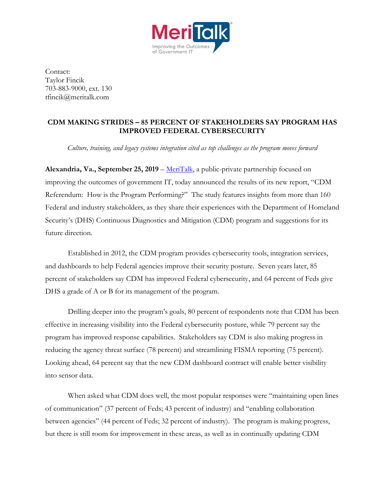

Contact: Taylor Fincik 703-883-9000, ext. 130 tfincik@meritalk.com

## **CDM MAKING STRIDES – 85 PERCENT OF STAKEHOLDERS SAY PROGRAM HAS IMPROVED FEDERAL CYBERSECURITY**

*Culture, training, and legacy systems integration cited as top challenges as the program moves forward*

**Alexandria, Va., September 25, 2019** – [MeriTalk,](http://www.meritalk.com/) a public-private partnership focused on improving the outcomes of government IT, today announced the results of its new report, "CDM Referendum: How is the Program Performing?" The study features insights from more than 160 Federal and industry stakeholders, as they share their experiences with the Department of Homeland Security's (DHS) Continuous Diagnostics and Mitigation (CDM) program and suggestions for its future direction.

Established in 2012, the CDM program provides cybersecurity tools, integration services, and dashboards to help Federal agencies improve their security posture. Seven years later, 85 percent of stakeholders say CDM has improved Federal cybersecurity, and 64 percent of Feds give DHS a grade of A or B for its management of the program.

Drilling deeper into the program's goals, 80 percent of respondents note that CDM has been effective in increasing visibility into the Federal cybersecurity posture, while 79 percent say the program has improved response capabilities. Stakeholders say CDM is also making progress in reducing the agency threat surface (78 percent) and streamlining FISMA reporting (75 percent). Looking ahead, 64 percent say that the new CDM dashboard contract will enable better visibility into sensor data.

When asked what CDM does well, the most popular responses were "maintaining open lines of communication" (37 percent of Feds; 43 percent of industry) and "enabling collaboration between agencies" (44 percent of Feds; 32 percent of industry). The program is making progress, but there is still room for improvement in these areas, as well as in continually updating CDM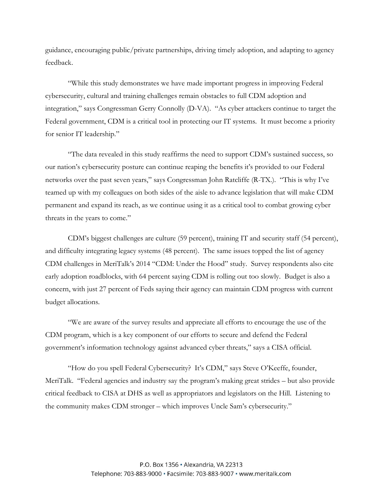guidance, encouraging public/private partnerships, driving timely adoption, and adapting to agency feedback.

"While this study demonstrates we have made important progress in improving Federal cybersecurity, cultural and training challenges remain obstacles to full CDM adoption and integration," says Congressman Gerry Connolly (D-VA). "As cyber attackers continue to target the Federal government, CDM is a critical tool in protecting our IT systems. It must become a priority for senior IT leadership."

"The data revealed in this study reaffirms the need to support CDM's sustained success, so our nation's cybersecurity posture can continue reaping the benefits it's provided to our Federal networks over the past seven years," says Congressman John Ratcliffe (R-TX.). "This is why I've teamed up with my colleagues on both sides of the aisle to advance legislation that will make CDM permanent and expand its reach, as we continue using it as a critical tool to combat growing cyber threats in the years to come."

CDM's biggest challenges are culture (59 percent), training IT and security staff (54 percent), and difficulty integrating legacy systems (48 percent). The same issues topped the list of agency CDM challenges in MeriTalk's 2014 "CDM: Under the Hood" study. Survey respondents also cite early adoption roadblocks, with 64 percent saying CDM is rolling out too slowly. Budget is also a concern, with just 27 percent of Feds saying their agency can maintain CDM progress with current budget allocations.

"We are aware of the survey results and appreciate all efforts to encourage the use of the CDM program, which is a key component of our efforts to secure and defend the Federal government's information technology against advanced cyber threats," says a CISA official.

"How do you spell Federal Cybersecurity? It's CDM," says Steve O'Keeffe, founder, MeriTalk. "Federal agencies and industry say the program's making great strides – but also provide critical feedback to CISA at DHS as well as appropriators and legislators on the Hill. Listening to the community makes CDM stronger – which improves Uncle Sam's cybersecurity."